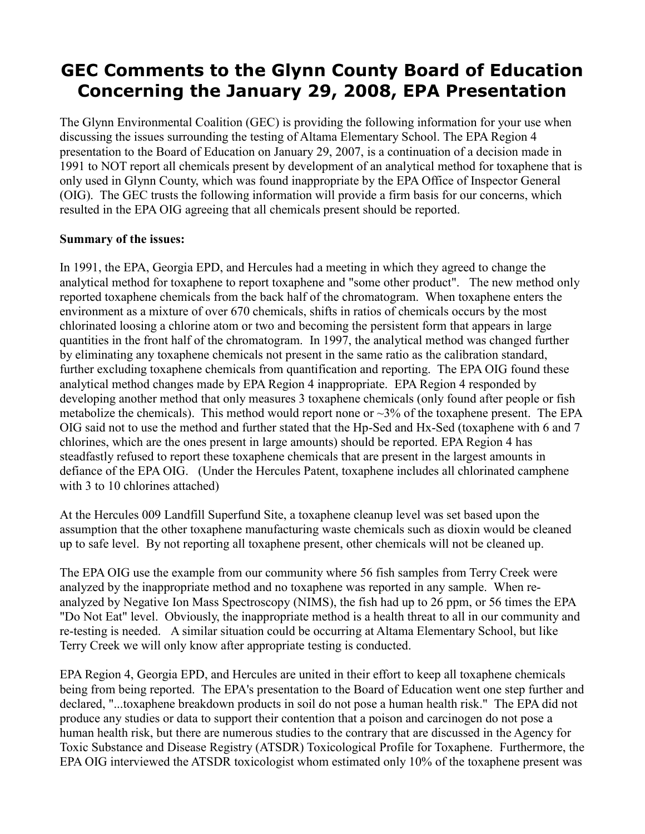# **GEC Comments to the Glynn County Board of Education Concerning the January 29, 2008, EPA Presentation**

The Glynn Environmental Coalition (GEC) is providing the following information for your use when discussing the issues surrounding the testing of Altama Elementary School. The EPA Region 4 presentation to the Board of Education on January 29, 2007, is a continuation of a decision made in 1991 to NOT report all chemicals present by development of an analytical method for toxaphene that is only used in Glynn County, which was found inappropriate by the EPA Office of Inspector General (OIG). The GEC trusts the following information will provide a firm basis for our concerns, which resulted in the EPA OIG agreeing that all chemicals present should be reported.

#### **Summary of the issues:**

In 1991, the EPA, Georgia EPD, and Hercules had a meeting in which they agreed to change the analytical method for toxaphene to report toxaphene and "some other product". The new method only reported toxaphene chemicals from the back half of the chromatogram. When toxaphene enters the environment as a mixture of over 670 chemicals, shifts in ratios of chemicals occurs by the most chlorinated loosing a chlorine atom or two and becoming the persistent form that appears in large quantities in the front half of the chromatogram. In 1997, the analytical method was changed further by eliminating any toxaphene chemicals not present in the same ratio as the calibration standard, further excluding toxaphene chemicals from quantification and reporting. The EPA OIG found these analytical method changes made by EPA Region 4 inappropriate. EPA Region 4 responded by developing another method that only measures 3 toxaphene chemicals (only found after people or fish metabolize the chemicals). This method would report none or  $\sim$ 3% of the toxaphene present. The EPA OIG said not to use the method and further stated that the Hp-Sed and Hx-Sed (toxaphene with 6 and 7 chlorines, which are the ones present in large amounts) should be reported. EPA Region 4 has steadfastly refused to report these toxaphene chemicals that are present in the largest amounts in defiance of the EPA OIG. (Under the Hercules Patent, toxaphene includes all chlorinated camphene with 3 to 10 chlorines attached)

At the Hercules 009 Landfill Superfund Site, a toxaphene cleanup level was set based upon the assumption that the other toxaphene manufacturing waste chemicals such as dioxin would be cleaned up to safe level. By not reporting all toxaphene present, other chemicals will not be cleaned up.

The EPA OIG use the example from our community where 56 fish samples from Terry Creek were analyzed by the inappropriate method and no toxaphene was reported in any sample. When reanalyzed by Negative Ion Mass Spectroscopy (NIMS), the fish had up to 26 ppm, or 56 times the EPA "Do Not Eat" level. Obviously, the inappropriate method is a health threat to all in our community and re-testing is needed. A similar situation could be occurring at Altama Elementary School, but like Terry Creek we will only know after appropriate testing is conducted.

EPA Region 4, Georgia EPD, and Hercules are united in their effort to keep all toxaphene chemicals being from being reported. The EPA's presentation to the Board of Education went one step further and declared, "...toxaphene breakdown products in soil do not pose a human health risk." The EPA did not produce any studies or data to support their contention that a poison and carcinogen do not pose a human health risk, but there are numerous studies to the contrary that are discussed in the Agency for Toxic Substance and Disease Registry (ATSDR) Toxicological Profile for Toxaphene. Furthermore, the EPA OIG interviewed the ATSDR toxicologist whom estimated only 10% of the toxaphene present was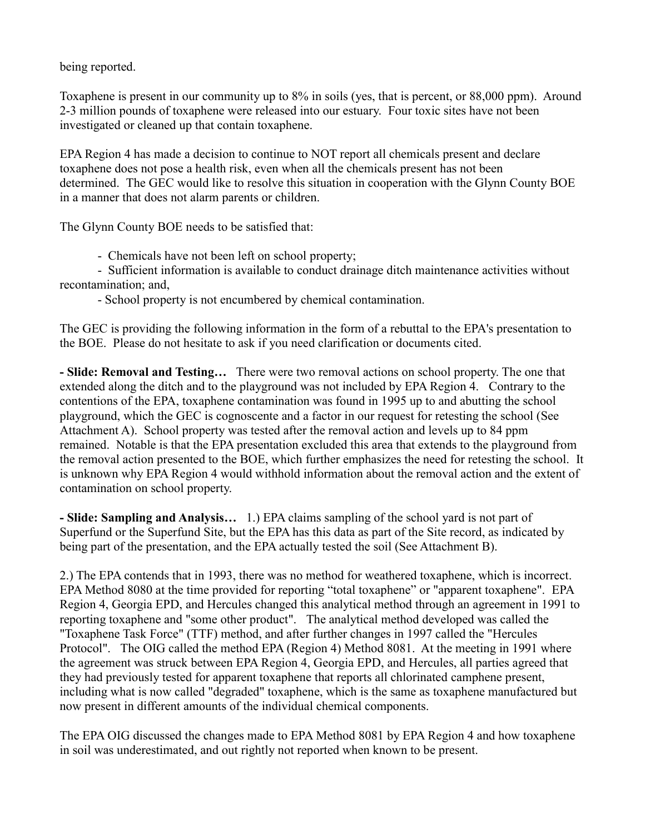being reported.

Toxaphene is present in our community up to 8% in soils (yes, that is percent, or 88,000 ppm). Around 2-3 million pounds of toxaphene were released into our estuary. Four toxic sites have not been investigated or cleaned up that contain toxaphene.

EPA Region 4 has made a decision to continue to NOT report all chemicals present and declare toxaphene does not pose a health risk, even when all the chemicals present has not been determined. The GEC would like to resolve this situation in cooperation with the Glynn County BOE in a manner that does not alarm parents or children.

The Glynn County BOE needs to be satisfied that:

- Chemicals have not been left on school property;

- Sufficient information is available to conduct drainage ditch maintenance activities without recontamination; and,

- School property is not encumbered by chemical contamination.

The GEC is providing the following information in the form of a rebuttal to the EPA's presentation to the BOE. Please do not hesitate to ask if you need clarification or documents cited.

**- Slide: Removal and Testing…** There were two removal actions on school property. The one that extended along the ditch and to the playground was not included by EPA Region 4. Contrary to the contentions of the EPA, toxaphene contamination was found in 1995 up to and abutting the school playground, which the GEC is cognoscente and a factor in our request for retesting the school (See Attachment A). School property was tested after the removal action and levels up to 84 ppm remained. Notable is that the EPA presentation excluded this area that extends to the playground from the removal action presented to the BOE, which further emphasizes the need for retesting the school. It is unknown why EPA Region 4 would withhold information about the removal action and the extent of contamination on school property.

**- Slide: Sampling and Analysis…** 1.) EPA claims sampling of the school yard is not part of Superfund or the Superfund Site, but the EPA has this data as part of the Site record, as indicated by being part of the presentation, and the EPA actually tested the soil (See Attachment B).

2.) The EPA contends that in 1993, there was no method for weathered toxaphene, which is incorrect. EPA Method 8080 at the time provided for reporting "total toxaphene" or "apparent toxaphene". EPA Region 4, Georgia EPD, and Hercules changed this analytical method through an agreement in 1991 to reporting toxaphene and "some other product". The analytical method developed was called the "Toxaphene Task Force" (TTF) method, and after further changes in 1997 called the "Hercules Protocol". The OIG called the method EPA (Region 4) Method 8081. At the meeting in 1991 where the agreement was struck between EPA Region 4, Georgia EPD, and Hercules, all parties agreed that they had previously tested for apparent toxaphene that reports all chlorinated camphene present, including what is now called "degraded" toxaphene, which is the same as toxaphene manufactured but now present in different amounts of the individual chemical components.

The EPA OIG discussed the changes made to EPA Method 8081 by EPA Region 4 and how toxaphene in soil was underestimated, and out rightly not reported when known to be present.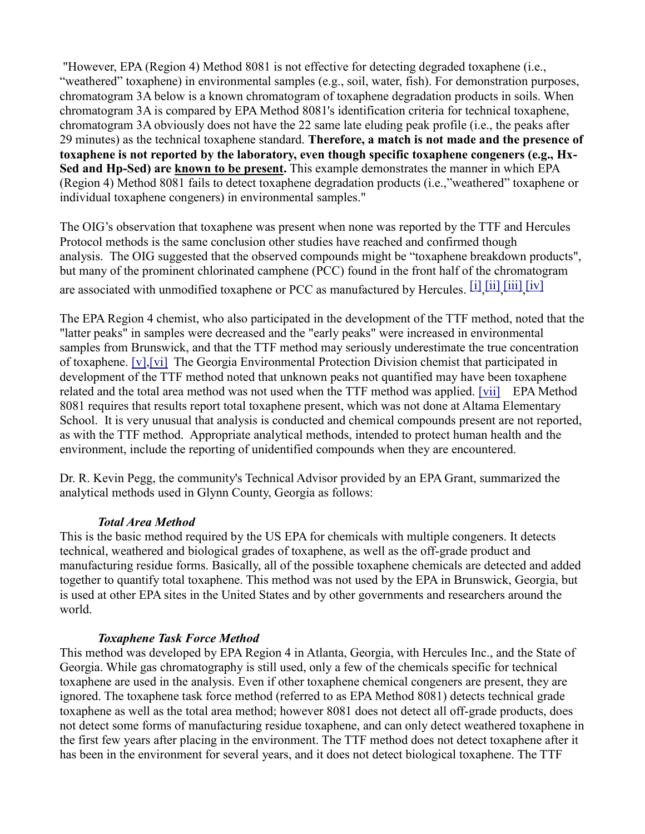"However, EPA (Region 4) Method 8081 is not effective for detecting degraded toxaphene (i.e., "weathered" toxaphene) in environmental samples (e.g., soil, water, fish). For demonstration purposes, chromatogram 3A below is a known chromatogram of toxaphene degradation products in soils. When chromatogram 3A is compared by EPA Method 8081's identification criteria for technical toxaphene, chromatogram 3A obviously does not have the 22 same late eluding peak profile (i.e., the peaks after 29 minutes) as the technical toxaphene standard. **Therefore, a match is not made and the presence of toxaphene is not reported by the laboratory, even though specific toxaphene congeners (e.g., Hx-Sed and Hp-Sed) are known to be present.** This example demonstrates the manner in which EPA (Region 4) Method 8081 fails to detect toxaphene degradation products (i.e.,"weathered" toxaphene or individual toxaphene congeners) in environmental samples."

The OIG's observation that toxaphene was present when none was reported by the TTF and Hercules Protocol methods is the same conclusion other studies have reached and confirmed though analysis. The OIG suggested that the observed compounds might be "toxaphene breakdown products", but many of the prominent chlorinated camphene (PCC) found in the front half of the chromatogram are associated with unmodified toxaphene or PCC as manufactured by Hercules. [\[i\]](http://glynnenvironmental.org/oldsite/009AltamaElementary-GEC-Comments2-08%20.htm#_edn1), [\[ii\]](http://glynnenvironmental.org/oldsite/009AltamaElementary-GEC-Comments2-08%20.htm#_edn2), [\[iii\]](http://glynnenvironmental.org/oldsite/009AltamaElementary-GEC-Comments2-08%20.htm#_edn3), [\[iv\]](http://glynnenvironmental.org/oldsite/009AltamaElementary-GEC-Comments2-08%20.htm#_edn4)

The EPA Region 4 chemist, who also participated in the development of the TTF method, noted that the "latter peaks" in samples were decreased and the "early peaks" were increased in environmental samples from Brunswick, and that the TTF method may seriously underestimate the true concentration of toxaphene. [\[v\]](http://glynnenvironmental.org/oldsite/009AltamaElementary-GEC-Comments2-08%20.htm#_edn5)[,\[vi\]](http://glynnenvironmental.org/oldsite/009AltamaElementary-GEC-Comments2-08%20.htm#_edn6) The Georgia Environmental Protection Division chemist that participated in development of the TTF method noted that unknown peaks not quantified may have been toxaphene related and the total area method was not used when the TTF method was applied. [\[vii\]](http://glynnenvironmental.org/oldsite/009AltamaElementary-GEC-Comments2-08%20.htm#_edn7) EPA Method 8081 requires that results report total toxaphene present, which was not done at Altama Elementary School. It is very unusual that analysis is conducted and chemical compounds present are not reported, as with the TTF method. Appropriate analytical methods, intended to protect human health and the environment, include the reporting of unidentified compounds when they are encountered.

Dr. R. Kevin Pegg, the community's Technical Advisor provided by an EPA Grant, summarized the analytical methods used in Glynn County, Georgia as follows:

### *Total Area Method*

This is the basic method required by the US EPA for chemicals with multiple congeners. It detects technical, weathered and biological grades of toxaphene, as well as the off-grade product and manufacturing residue forms. Basically, all of the possible toxaphene chemicals are detected and added together to quantify total toxaphene. This method was not used by the EPA in Brunswick, Georgia, but is used at other EPA sites in the United States and by other governments and researchers around the world.

#### *Toxaphene Task Force Method*

This method was developed by EPA Region 4 in Atlanta, Georgia, with Hercules Inc., and the State of Georgia. While gas chromatography is still used, only a few of the chemicals specific for technical toxaphene are used in the analysis. Even if other toxaphene chemical congeners are present, they are ignored. The toxaphene task force method (referred to as EPA Method 8081) detects technical grade toxaphene as well as the total area method; however 8081 does not detect all off-grade products, does not detect some forms of manufacturing residue toxaphene, and can only detect weathered toxaphene in the first few years after placing in the environment. The TTF method does not detect toxaphene after it has been in the environment for several years, and it does not detect biological toxaphene. The TTF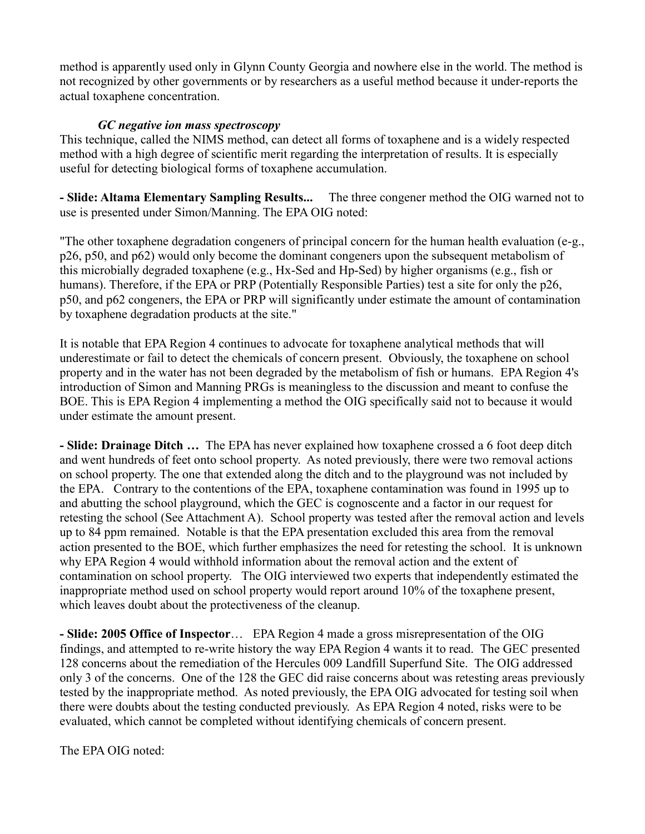method is apparently used only in Glynn County Georgia and nowhere else in the world. The method is not recognized by other governments or by researchers as a useful method because it under-reports the actual toxaphene concentration.

## *GC negative ion mass spectroscopy*

This technique, called the NIMS method, can detect all forms of toxaphene and is a widely respected method with a high degree of scientific merit regarding the interpretation of results. It is especially useful for detecting biological forms of toxaphene accumulation.

**- Slide: Altama Elementary Sampling Results...** The three congener method the OIG warned not to use is presented under Simon/Manning. The EPA OIG noted:

"The other toxaphene degradation congeners of principal concern for the human health evaluation (e-g., p26, p50, and p62) would only become the dominant congeners upon the subsequent metabolism of this microbially degraded toxaphene (e.g., Hx-Sed and Hp-Sed) by higher organisms (e.g., fish or humans). Therefore, if the EPA or PRP (Potentially Responsible Parties) test a site for only the p26, p50, and p62 congeners, the EPA or PRP will significantly under estimate the amount of contamination by toxaphene degradation products at the site."

It is notable that EPA Region 4 continues to advocate for toxaphene analytical methods that will underestimate or fail to detect the chemicals of concern present. Obviously, the toxaphene on school property and in the water has not been degraded by the metabolism of fish or humans. EPA Region 4's introduction of Simon and Manning PRGs is meaningless to the discussion and meant to confuse the BOE. This is EPA Region 4 implementing a method the OIG specifically said not to because it would under estimate the amount present.

**- Slide: Drainage Ditch …** The EPA has never explained how toxaphene crossed a 6 foot deep ditch and went hundreds of feet onto school property. As noted previously, there were two removal actions on school property. The one that extended along the ditch and to the playground was not included by the EPA. Contrary to the contentions of the EPA, toxaphene contamination was found in 1995 up to and abutting the school playground, which the GEC is cognoscente and a factor in our request for retesting the school (See Attachment A). School property was tested after the removal action and levels up to 84 ppm remained. Notable is that the EPA presentation excluded this area from the removal action presented to the BOE, which further emphasizes the need for retesting the school. It is unknown why EPA Region 4 would withhold information about the removal action and the extent of contamination on school property. The OIG interviewed two experts that independently estimated the inappropriate method used on school property would report around 10% of the toxaphene present, which leaves doubt about the protectiveness of the cleanup.

**- Slide: 2005 Office of Inspector**… EPA Region 4 made a gross misrepresentation of the OIG findings, and attempted to re-write history the way EPA Region 4 wants it to read. The GEC presented 128 concerns about the remediation of the Hercules 009 Landfill Superfund Site. The OIG addressed only 3 of the concerns. One of the 128 the GEC did raise concerns about was retesting areas previously tested by the inappropriate method. As noted previously, the EPA OIG advocated for testing soil when there were doubts about the testing conducted previously. As EPA Region 4 noted, risks were to be evaluated, which cannot be completed without identifying chemicals of concern present.

The EPA OIG noted: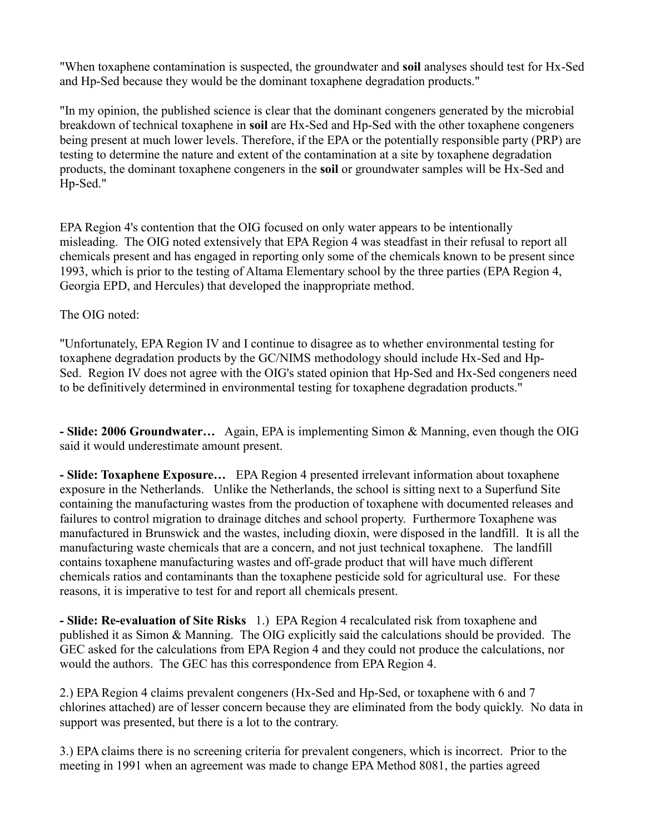"When toxaphene contamination is suspected, the groundwater and **soil** analyses should test for Hx-Sed and Hp-Sed because they would be the dominant toxaphene degradation products."

"In my opinion, the published science is clear that the dominant congeners generated by the microbial breakdown of technical toxaphene in **soil** are Hx-Sed and Hp-Sed with the other toxaphene congeners being present at much lower levels. Therefore, if the EPA or the potentially responsible party (PRP) are testing to determine the nature and extent of the contamination at a site by toxaphene degradation products, the dominant toxaphene congeners in the **soil** or groundwater samples will be Hx-Sed and Hp-Sed."

EPA Region 4's contention that the OIG focused on only water appears to be intentionally misleading. The OIG noted extensively that EPA Region 4 was steadfast in their refusal to report all chemicals present and has engaged in reporting only some of the chemicals known to be present since 1993, which is prior to the testing of Altama Elementary school by the three parties (EPA Region 4, Georgia EPD, and Hercules) that developed the inappropriate method.

The OIG noted:

"Unfortunately, EPA Region IV and I continue to disagree as to whether environmental testing for toxaphene degradation products by the GC/NIMS methodology should include Hx-Sed and Hp-Sed. Region IV does not agree with the OIG's stated opinion that Hp-Sed and Hx-Sed congeners need to be definitively determined in environmental testing for toxaphene degradation products."

**- Slide: 2006 Groundwater…** Again, EPA is implementing Simon & Manning, even though the OIG said it would underestimate amount present.

**- Slide: Toxaphene Exposure…** EPA Region 4 presented irrelevant information about toxaphene exposure in the Netherlands. Unlike the Netherlands, the school is sitting next to a Superfund Site containing the manufacturing wastes from the production of toxaphene with documented releases and failures to control migration to drainage ditches and school property. Furthermore Toxaphene was manufactured in Brunswick and the wastes, including dioxin, were disposed in the landfill. It is all the manufacturing waste chemicals that are a concern, and not just technical toxaphene. The landfill contains toxaphene manufacturing wastes and off-grade product that will have much different chemicals ratios and contaminants than the toxaphene pesticide sold for agricultural use. For these reasons, it is imperative to test for and report all chemicals present.

**- Slide: Re-evaluation of Site Risks** 1.) EPA Region 4 recalculated risk from toxaphene and published it as Simon & Manning. The OIG explicitly said the calculations should be provided. The GEC asked for the calculations from EPA Region 4 and they could not produce the calculations, nor would the authors. The GEC has this correspondence from EPA Region 4.

2.) EPA Region 4 claims prevalent congeners (Hx-Sed and Hp-Sed, or toxaphene with 6 and 7 chlorines attached) are of lesser concern because they are eliminated from the body quickly. No data in support was presented, but there is a lot to the contrary.

3.) EPA claims there is no screening criteria for prevalent congeners, which is incorrect. Prior to the meeting in 1991 when an agreement was made to change EPA Method 8081, the parties agreed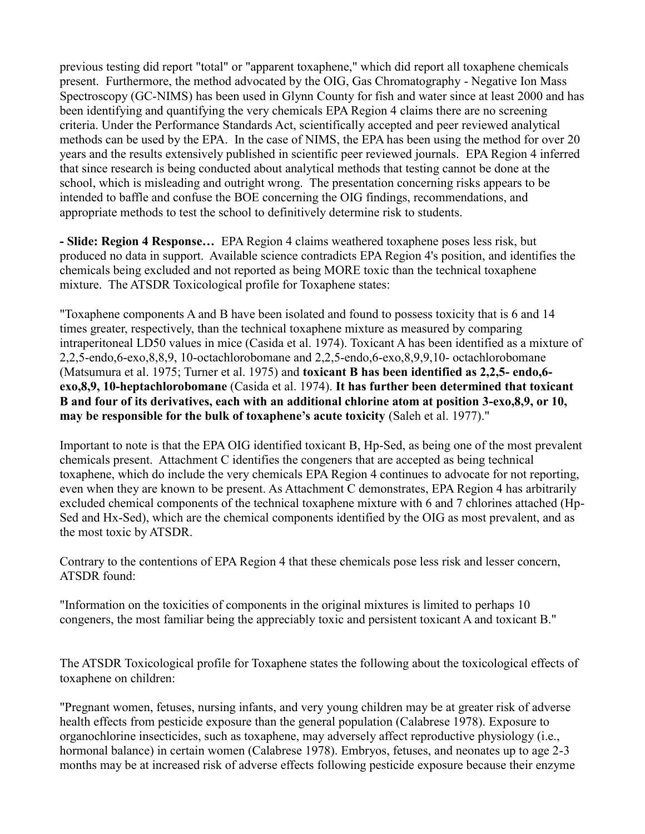previous testing did report "total" or "apparent toxaphene," which did report all toxaphene chemicals present. Furthermore, the method advocated by the OIG, Gas Chromatography - Negative Ion Mass Spectroscopy (GC-NIMS) has been used in Glynn County for fish and water since at least 2000 and has been identifying and quantifying the very chemicals EPA Region 4 claims there are no screening criteria. Under the Performance Standards Act, scientifically accepted and peer reviewed analytical methods can be used by the EPA. In the case of NIMS, the EPA has been using the method for over 20 years and the results extensively published in scientific peer reviewed journals. EPA Region 4 inferred that since research is being conducted about analytical methods that testing cannot be done at the school, which is misleading and outright wrong. The presentation concerning risks appears to be intended to baffle and confuse the BOE concerning the OIG findings, recommendations, and appropriate methods to test the school to definitively determine risk to students.

**- Slide: Region 4 Response…** EPA Region 4 claims weathered toxaphene poses less risk, but produced no data in support. Available science contradicts EPA Region 4's position, and identifies the chemicals being excluded and not reported as being MORE toxic than the technical toxaphene mixture. The ATSDR Toxicological profile for Toxaphene states:

"Toxaphene components A and B have been isolated and found to possess toxicity that is 6 and 14 times greater, respectively, than the technical toxaphene mixture as measured by comparing intraperitoneal LD50 values in mice (Casida et al. 1974). Toxicant A has been identified as a mixture of 2,2,5-endo,6-exo,8,8,9, 10-octachlorobomane and 2,2,5-endo,6-exo,8,9,9,10- octachlorobomane (Matsumura et al. 1975; Turner et al. 1975) and **toxicant B has been identified as 2,2,5- endo,6 exo,8,9, 10-heptachlorobomane** (Casida et al. 1974). **It has further been determined that toxicant B and four of its derivatives, each with an additional chlorine atom at position 3-exo,8,9, or 10, may be responsible for the bulk of toxaphene's acute toxicity** (Saleh et al. 1977)."

Important to note is that the EPA OIG identified toxicant B, Hp-Sed, as being one of the most prevalent chemicals present. Attachment C identifies the congeners that are accepted as being technical toxaphene, which do include the very chemicals EPA Region 4 continues to advocate for not reporting, even when they are known to be present. As Attachment C demonstrates, EPA Region 4 has arbitrarily excluded chemical components of the technical toxaphene mixture with 6 and 7 chlorines attached (Hp-Sed and Hx-Sed), which are the chemical components identified by the OIG as most prevalent, and as the most toxic by ATSDR.

Contrary to the contentions of EPA Region 4 that these chemicals pose less risk and lesser concern, ATSDR found:

"Information on the toxicities of components in the original mixtures is limited to perhaps 10 congeners, the most familiar being the appreciably toxic and persistent toxicant A and toxicant B."

The ATSDR Toxicological profile for Toxaphene states the following about the toxicological effects of toxaphene on children:

"Pregnant women, fetuses, nursing infants, and very young children may be at greater risk of adverse health effects from pesticide exposure than the general population (Calabrese 1978). Exposure to organochlorine insecticides, such as toxaphene, may adversely affect reproductive physiology (i.e., hormonal balance) in certain women (Calabrese 1978). Embryos, fetuses, and neonates up to age 2-3 months may be at increased risk of adverse effects following pesticide exposure because their enzyme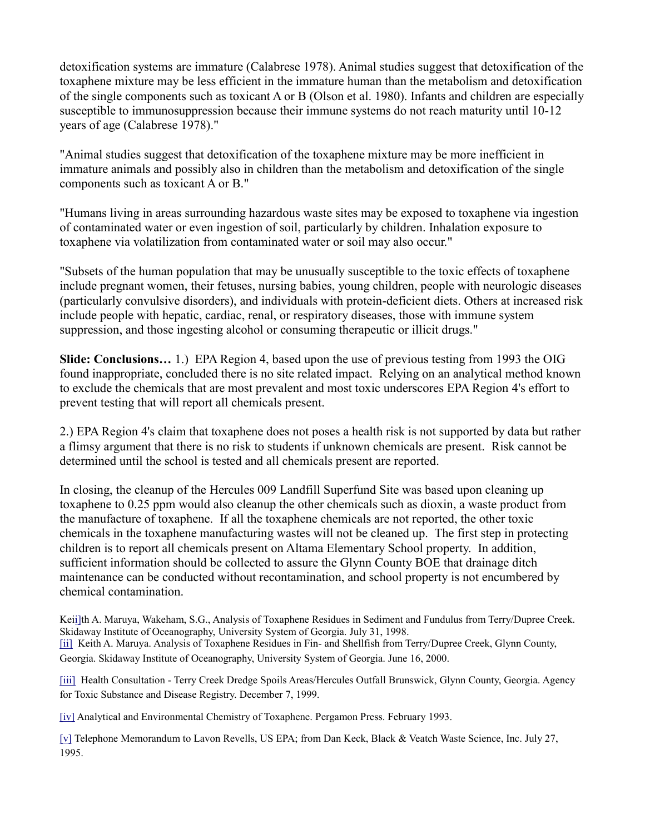detoxification systems are immature (Calabrese 1978). Animal studies suggest that detoxification of the toxaphene mixture may be less efficient in the immature human than the metabolism and detoxification of the single components such as toxicant A or B (Olson et al. 1980). Infants and children are especially susceptible to immunosuppression because their immune systems do not reach maturity until 10-12 years of age (Calabrese 1978)."

"Animal studies suggest that detoxification of the toxaphene mixture may be more inefficient in immature animals and possibly also in children than the metabolism and detoxification of the single components such as toxicant A or B."

"Humans living in areas surrounding hazardous waste sites may be exposed to toxaphene via ingestion of contaminated water or even ingestion of soil, particularly by children. Inhalation exposure to toxaphene via volatilization from contaminated water or soil may also occur."

"Subsets of the human population that may be unusually susceptible to the toxic effects of toxaphene include pregnant women, their fetuses, nursing babies, young children, people with neurologic diseases (particularly convulsive disorders), and individuals with protein-deficient diets. Others at increased risk include people with hepatic, cardiac, renal, or respiratory diseases, those with immune system suppression, and those ingesting alcohol or consuming therapeutic or illicit drugs."

**Slide: Conclusions…** 1.) EPA Region 4, based upon the use of previous testing from 1993 the OIG found inappropriate, concluded there is no site related impact. Relying on an analytical method known to exclude the chemicals that are most prevalent and most toxic underscores EPA Region 4's effort to prevent testing that will report all chemicals present.

2.) EPA Region 4's claim that toxaphene does not poses a health risk is not supported by data but rather a flimsy argument that there is no risk to students if unknown chemicals are present. Risk cannot be determined until the school is tested and all chemicals present are reported.

In closing, the cleanup of the Hercules 009 Landfill Superfund Site was based upon cleaning up toxaphene to 0.25 ppm would also cleanup the other chemicals such as dioxin, a waste product from the manufacture of toxaphene. If all the toxaphene chemicals are not reported, the other toxic chemicals in the toxaphene manufacturing wastes will not be cleaned up. The first step in protecting children is to report all chemicals present on Altama Elementary School property. In addition, sufficient information should be collected to assure the Glynn County BOE that drainage ditch maintenance can be conducted without recontamination, and school property is not encumbered by chemical contamination.

Ke[ii\]t](http://glynnenvironmental.org/oldsite/009AltamaElementary-GEC-Comments2-08%20.htm#_ednref1)h A. Maruya, Wakeham, S.G., Analysis of Toxaphene Residues in Sediment and Fundulus from Terry/Dupree Creek. Skidaway Institute of Oceanography, University System of Georgia. July 31, 1998. [\[ii\]](http://glynnenvironmental.org/oldsite/009AltamaElementary-GEC-Comments2-08%20.htm#_ednref2) Keith A. Maruya. Analysis of Toxaphene Residues in Fin- and Shellfish from Terry/Dupree Creek, Glynn County, Georgia. Skidaway Institute of Oceanography, University System of Georgia. June 16, 2000.

[\[iii\]](http://glynnenvironmental.org/oldsite/009AltamaElementary-GEC-Comments2-08%20.htm#_ednref3) Health Consultation - Terry Creek Dredge Spoils Areas/Hercules Outfall Brunswick, Glynn County, Georgia. Agency for Toxic Substance and Disease Registry. December 7, 1999.

[\[iv\]](http://glynnenvironmental.org/oldsite/009AltamaElementary-GEC-Comments2-08%20.htm#_ednref4) Analytical and Environmental Chemistry of Toxaphene. Pergamon Press. February 1993.

[\[v\]](http://glynnenvironmental.org/oldsite/009AltamaElementary-GEC-Comments2-08%20.htm#_ednref5) Telephone Memorandum to Lavon Revells, US EPA; from Dan Keck, Black & Veatch Waste Science, Inc. July 27, 1995.